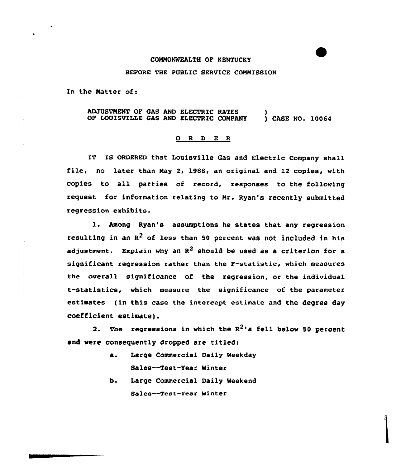## COMMONWEALTH OF KENTUCKY

## BEFORE THE PUBLiC SERVICE COMMISSION

In the Natter of:

ADJUSTNENT OF GAS AND ELECTRIC RATES OF LOUISVILLE GAS AND ELECTRIC CONPANY ) ) CASE NO. 10064

## 0 <sup>R</sup> <sup>D</sup> E <sup>R</sup>

IT IS ORDERED that Louisville Gas and Electric Company shall file, no later than Nay 2, 1988, an original and 12 copies, with copies to all parties of record, responses to the following request for information relating to Nr. Ryan's recently submitted regression exhibits.

1. Among Ryan's assumptions he states that any regression resulting in an  $R^2$  of less than 50 percent was not included in his adjustment. Explain why an  $R^2$  should be used as a criterion for a significant regression rather than the F-statistic, which measures the overall significance of the regression, or the individual t-statistics, which measure the significance of the parameter estimates (in this case the intercept estimate and the degree day coefficient estimate).

2. The regressions in which the  $R^2$ 's fell below 50 percent and vere consequently dropped are titled:

- a. Large Commercial Daily Weekday Sales--Test-Year Winter
- b. Large Commercial Daily Weekend Sales--Test-Year Minter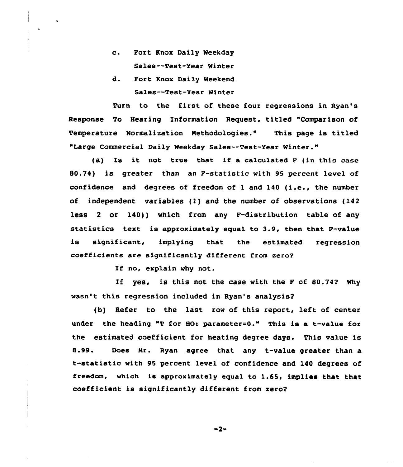- c. Fort Knox Daily Weekday Sales--Test-Year Winter
- d. Port Knox Daily Weekend Sales—Test-Year Winter

Turn to the first of these four regressions in Ryan's Response To Hearing Information Request, titled "Comparison of Temperature Normalization Nethodologies." This page is titled "Large Commercial Daily Weekday Sales—Test-Year Winter."

(a) Is it not true that if a calculated  $F$  (in this case 80.74) is greater than an F-statistic with 95 percent level of confidence and degrees of freedom of <sup>1</sup> and <sup>140</sup> (i.e., the number of independent variables (l) and the number of observations (142 less <sup>2</sup> or 140)) which from any F-distribution table of any statistics text is approximately equal to 3.9, then that F-value is significant, implying that the estimated regression coefficients are significantly different from zero2

If no, explain why not.

If yes, is this not the case with the F of 80.742 Why wasn't this regression included in Ryan's analysis2

(b) Refer to the last row of this report, left of center under the heading "T for HO: parameter=0." This is a t-value for the estimated coefficient for heating degree days. This value is 8.99. Does Nr. Ryan agree that any t-value greater than a t-statistic with <sup>95</sup> percent level of confidence and 140 degrees of freedom, which ie approximately equal to 1.65, implies that that coefficient is significantly different from zero2

 $-2-$